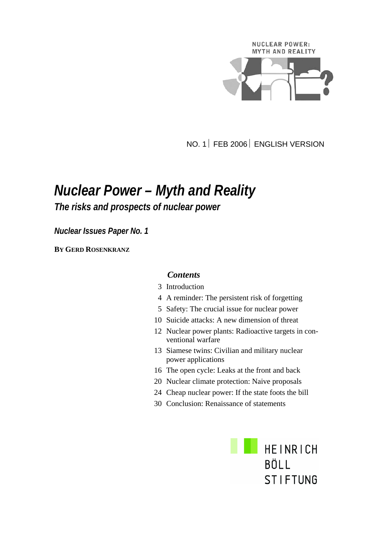

NO. 1⏐ FEB 2006⏐ ENGLISH VERSION

# *Nuclear Power – Myth and Reality The risks and prospects of nuclear power*

*Nuclear Issues Paper No. 1* 

**BY GERD ROSENKRANZ**

#### *Contents*

- 3 Introduction
- 4 A reminder: The persistent risk of forgetting
- 5 Safety: The crucial issue for nuclear power
- 10 Suicide attacks: A new dimension of threat
- 12 Nuclear power plants: Radioactive targets in conventional warfare
- 13 Siamese twins: Civilian and military nuclear power applications
- 16 The open cycle: Leaks at the front and back
- 20 Nuclear climate protection: Naive proposals
- 24 Cheap nuclear power: If the state foots the bill
- 30 Conclusion: Renaissance of statements

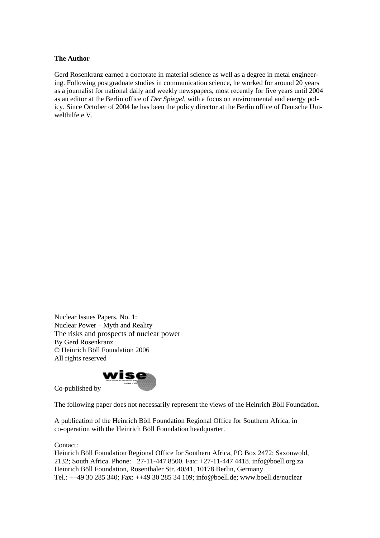#### **The Author**

Gerd Rosenkranz earned a doctorate in material science as well as a degree in metal engineering. Following postgraduate studies in communication science, he worked for around 20 years as a journalist for national daily and weekly newspapers, most recently for five years until 2004 as an editor at the Berlin office of *Der Spiegel*, with a focus on environmental and energy policy. Since October of 2004 he has been the policy director at the Berlin office of Deutsche Umwelthilfe e.V.

Nuclear Issues Papers, No. 1: Nuclear Power – Myth and Reality The risks and prospects of nuclear power By Gerd Rosenkranz © Heinrich Böll Foundation 2006 All rights reserved



Co-published by

The following paper does not necessarily represent the views of the Heinrich Böll Foundation.

A publication of the Heinrich Böll Foundation Regional Office for Southern Africa, in co-operation with the Heinrich Böll Foundation headquarter.

Contact:

Heinrich Böll Foundation Regional Office for Southern Africa, PO Box 2472; Saxonwold, 2132; South Africa. Phone: +27-11-447 8500. Fax: +27-11-447 4418. info@boell.org.za Heinrich Böll Foundation, Rosenthaler Str. 40/41, 10178 Berlin, Germany. Tel.: ++49 30 285 340; Fax: ++49 30 285 34 109; info@boell.de; www.boell.de/nuclear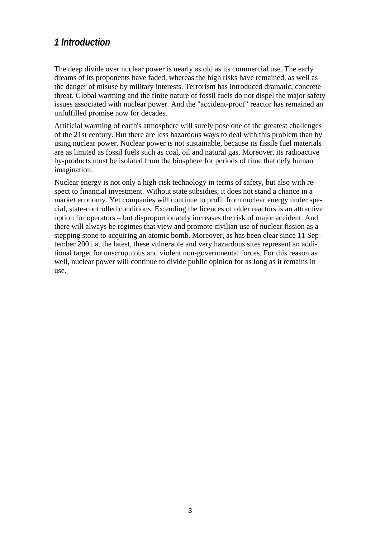# *1 Introduction*

The deep divide over nuclear power is nearly as old as its commercial use. The early dreams of its proponents have faded, whereas the high risks have remained, as well as the danger of misuse by military interests. Terrorism has introduced dramatic, concrete threat. Global warming and the finite nature of fossil fuels do not dispel the major safety issues associated with nuclear power. And the "accident-proof" reactor has remained an unfulfilled promise now for decades.

Artificial warming of earth's atmosphere will surely pose one of the greatest challenges of the 21st century. But there are less hazardous ways to deal with this problem than by using nuclear power. Nuclear power is not sustainable, because its fissile fuel materials are as limited as fossil fuels such as coal, oil and natural gas. Moreover, its radioactive by-products must be isolated from the biosphere for periods of time that defy human imagination.

Nuclear energy is not only a high-risk technology in terms of safety, but also with respect to financial investment. Without state subsidies, it does not stand a chance in a market economy. Yet companies will continue to profit from nuclear energy under special, state-controlled conditions. Extending the licences of older reactors is an attractive option for operators – but disproportionately increases the risk of major accident. And there will always be regimes that view and promote civilian use of nuclear fission as a stepping stone to acquiring an atomic bomb. Moreover, as has been clear since 11 September 2001 at the latest, these vulnerable and very hazardous sites represent an additional target for unscrupulous and violent non-governmental forces. For this reason as well, nuclear power will continue to divide public opinion for as long as it remains in use.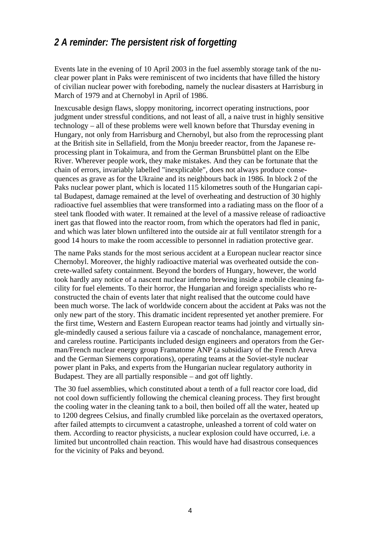# *2 A reminder: The persistent risk of forgetting*

Events late in the evening of 10 April 2003 in the fuel assembly storage tank of the nuclear power plant in Paks were reminiscent of two incidents that have filled the history of civilian nuclear power with foreboding, namely the nuclear disasters at Harrisburg in March of 1979 and at Chernobyl in April of 1986.

Inexcusable design flaws, sloppy monitoring, incorrect operating instructions, poor judgment under stressful conditions, and not least of all, a naive trust in highly sensitive technology – all of these problems were well known before that Thursday evening in Hungary, not only from Harrisburg and Chernobyl, but also from the reprocessing plant at the British site in Sellafield, from the Monju breeder reactor, from the Japanese reprocessing plant in Tokaimura, and from the German Brunsbüttel plant on the Elbe River. Wherever people work, they make mistakes. And they can be fortunate that the chain of errors, invariably labelled "inexplicable", does not always produce consequences as grave as for the Ukraine and its neighbours back in 1986. In block 2 of the Paks nuclear power plant, which is located 115 kilometres south of the Hungarian capital Budapest, damage remained at the level of overheating and destruction of 30 highly radioactive fuel assemblies that were transformed into a radiating mass on the floor of a steel tank flooded with water. It remained at the level of a massive release of radioactive inert gas that flowed into the reactor room, from which the operators had fled in panic, and which was later blown unfiltered into the outside air at full ventilator strength for a good 14 hours to make the room accessible to personnel in radiation protective gear.

The name Paks stands for the most serious accident at a European nuclear reactor since Chernobyl. Moreover, the highly radioactive material was overheated outside the concrete-walled safety containment. Beyond the borders of Hungary, however, the world took hardly any notice of a nascent nuclear inferno brewing inside a mobile cleaning facility for fuel elements. To their horror, the Hungarian and foreign specialists who reconstructed the chain of events later that night realised that the outcome could have been much worse. The lack of worldwide concern about the accident at Paks was not the only new part of the story. This dramatic incident represented yet another premiere. For the first time, Western and Eastern European reactor teams had jointly and virtually single-mindedly caused a serious failure via a cascade of nonchalance, management error, and careless routine. Participants included design engineers and operators from the German/French nuclear energy group Framatome ANP (a subsidiary of the French Areva and the German Siemens corporations), operating teams at the Soviet-style nuclear power plant in Paks, and experts from the Hungarian nuclear regulatory authority in Budapest. They are all partially responsible – and got off lightly.

The 30 fuel assemblies, which constituted about a tenth of a full reactor core load, did not cool down sufficiently following the chemical cleaning process. They first brought the cooling water in the cleaning tank to a boil, then boiled off all the water, heated up to 1200 degrees Celsius, and finally crumbled like porcelain as the overtaxed operators, after failed attempts to circumvent a catastrophe, unleashed a torrent of cold water on them. According to reactor physicists, a nuclear explosion could have occurred, i.e. a limited but uncontrolled chain reaction. This would have had disastrous consequences for the vicinity of Paks and beyond.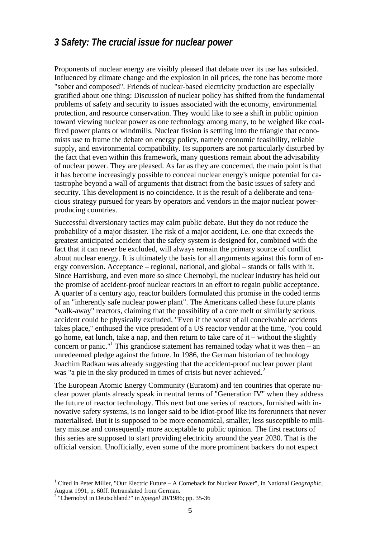# *3 Safety: The crucial issue for nuclear power*

Proponents of nuclear energy are visibly pleased that debate over its use has subsided. Influenced by climate change and the explosion in oil prices, the tone has become more "sober and composed". Friends of nuclear-based electricity production are especially gratified about one thing: Discussion of nuclear policy has shifted from the fundamental problems of safety and security to issues associated with the economy, environmental protection, and resource conservation. They would like to see a shift in public opinion toward viewing nuclear power as one technology among many, to be weighed like coalfired power plants or windmills. Nuclear fission is settling into the triangle that economists use to frame the debate on energy policy, namely economic feasibility, reliable supply, and environmental compatibility. Its supporters are not particularly disturbed by the fact that even within this framework, many questions remain about the advisability of nuclear power. They are pleased. As far as they are concerned, the main point is that it has become increasingly possible to conceal nuclear energy's unique potential for catastrophe beyond a wall of arguments that distract from the basic issues of safety and security. This development is no coincidence. It is the result of a deliberate and tenacious strategy pursued for years by operators and vendors in the major nuclear powerproducing countries.

Successful diversionary tactics may calm public debate. But they do not reduce the probability of a major disaster. The risk of a major accident, i.e. one that exceeds the greatest anticipated accident that the safety system is designed for, combined with the fact that it can never be excluded, will always remain the primary source of conflict about nuclear energy. It is ultimately the basis for all arguments against this form of energy conversion. Acceptance – regional, national, and global – stands or falls with it. Since Harrisburg, and even more so since Chernobyl, the nuclear industry has held out the promise of accident-proof nuclear reactors in an effort to regain public acceptance. A quarter of a century ago, reactor builders formulated this promise in the coded terms of an "inherently safe nuclear power plant". The Americans called these future plants "walk-away" reactors, claiming that the possibility of a core melt or similarly serious accident could be physically excluded. "Even if the worst of all conceivable accidents takes place," enthused the vice president of a US reactor vendor at the time, "you could go home, eat lunch, take a nap, and then return to take care of it – without the slightly concern or panic."<sup>1</sup> This grandiose statement has remained today what it was then  $-\frac{1}{2}$  an unredeemed pledge against the future. In 1986, the German historian of technology Joachim Radkau was already suggesting that the accident-proof nuclear power plant was "a pie in the sky produced in times of crisis but never achieved.<sup>2</sup>

The European Atomic Energy Community (Euratom) and ten countries that operate nuclear power plants already speak in neutral terms of "Generation IV" when they address the future of reactor technology. This next but one series of reactors, furnished with innovative safety systems, is no longer said to be idiot-proof like its forerunners that never materialised. But it is supposed to be more economical, smaller, less susceptible to military misuse and consequently more acceptable to public opinion. The first reactors of this series are supposed to start providing electricity around the year 2030. That is the official version. Unofficially, even some of the more prominent backers do not expect

<sup>1</sup> Cited in Peter Miller, "Our Electric Future – A Comeback for Nuclear Power", in National Geo*graphic*, August 1991, p. 60ff. Retranslated from German. 2 "Chernobyl in Deutschland?" in *Spiegel* 20/1986; pp. 35-36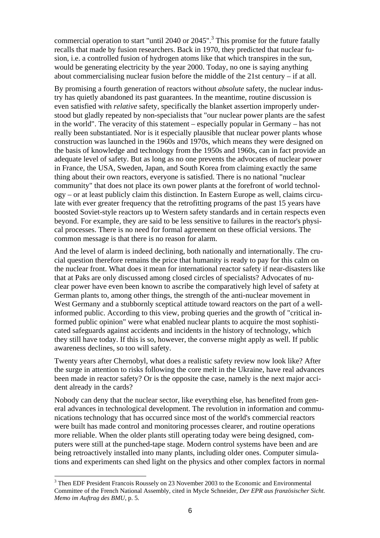commercial operation to start "until 2040 or  $2045$ ".<sup>3</sup> This promise for the future fatally recalls that made by fusion researchers. Back in 1970, they predicted that nuclear fusion, i.e. a controlled fusion of hydrogen atoms like that which transpires in the sun, would be generating electricity by the year 2000. Today, no one is saying anything about commercialising nuclear fusion before the middle of the 21st century – if at all.

By promising a fourth generation of reactors without *absolute* safety, the nuclear industry has quietly abandoned its past guarantees. In the meantime, routine discussion is even satisfied with *relative* safety, specifically the blanket assertion improperly understood but gladly repeated by non-specialists that "our nuclear power plants are the safest in the world". The veracity of this statement – especially popular in Germany – has not really been substantiated. Nor is it especially plausible that nuclear power plants whose construction was launched in the 1960s and 1970s, which means they were designed on the basis of knowledge and technology from the 1950s and 1960s, can in fact provide an adequate level of safety. But as long as no one prevents the advocates of nuclear power in France, the USA, Sweden, Japan, and South Korea from claiming exactly the same thing about their own reactors, everyone is satisfied. There is no national "nuclear community" that does not place its own power plants at the forefront of world technology – or at least publicly claim this distinction. In Eastern Europe as well, claims circulate with ever greater frequency that the retrofitting programs of the past 15 years have boosted Soviet-style reactors up to Western safety standards and in certain respects even beyond. For example, they are said to be less sensitive to failures in the reactor's physical processes. There is no need for formal agreement on these official versions. The common message is that there is no reason for alarm.

And the level of alarm is indeed declining, both nationally and internationally. The crucial question therefore remains the price that humanity is ready to pay for this calm on the nuclear front. What does it mean for international reactor safety if near-disasters like that at Paks are only discussed among closed circles of specialists? Advocates of nuclear power have even been known to ascribe the comparatively high level of safety at German plants to, among other things, the strength of the anti-nuclear movement in West Germany and a stubbornly sceptical attitude toward reactors on the part of a wellinformed public. According to this view, probing queries and the growth of "critical informed public opinion" were what enabled nuclear plants to acquire the most sophisticated safeguards against accidents and incidents in the history of technology, which they still have today. If this is so, however, the converse might apply as well. If public awareness declines, so too will safety.

Twenty years after Chernobyl, what does a realistic safety review now look like? After the surge in attention to risks following the core melt in the Ukraine, have real advances been made in reactor safety? Or is the opposite the case, namely is the next major accident already in the cards?

Nobody can deny that the nuclear sector, like everything else, has benefited from general advances in technological development. The revolution in information and communications technology that has occurred since most of the world's commercial reactors were built has made control and monitoring processes clearer, and routine operations more reliable. When the older plants still operating today were being designed, computers were still at the punched-tape stage. Modern control systems have been and are being retroactively installed into many plants, including older ones. Computer simulations and experiments can shed light on the physics and other complex factors in normal

<sup>&</sup>lt;sup>3</sup> Then EDF President Francois Roussely on 23 November 2003 to the Economic and Environmental Committee of the French National Assembly, cited in Mycle Schneider, *Der EPR aus französischer Sicht. Memo im Auftrag des BMU*, p. 5.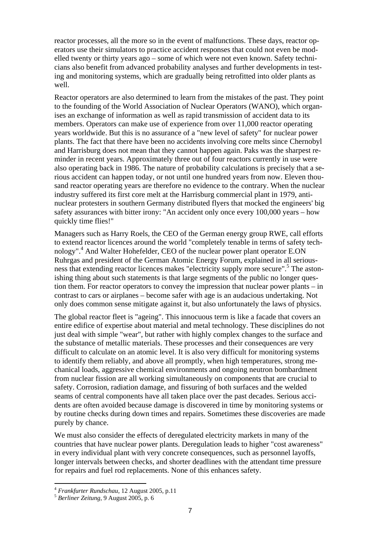reactor processes, all the more so in the event of malfunctions. These days, reactor operators use their simulators to practice accident responses that could not even be modelled twenty or thirty years ago – some of which were not even known. Safety technicians also benefit from advanced probability analyses and further developments in testing and monitoring systems, which are gradually being retrofitted into older plants as well.

Reactor operators are also determined to learn from the mistakes of the past. They point to the founding of the World Association of Nuclear Operators (WANO), which organises an exchange of information as well as rapid transmission of accident data to its members. Operators can make use of experience from over 11,000 reactor operating years worldwide. But this is no assurance of a "new level of safety" for nuclear power plants. The fact that there have been no accidents involving core melts since Chernobyl and Harrisburg does not mean that they cannot happen again. Paks was the sharpest reminder in recent years. Approximately three out of four reactors currently in use were also operating back in 1986. The nature of probability calculations is precisely that a serious accident can happen today, or not until one hundred years from now. Eleven thousand reactor operating years are therefore no evidence to the contrary. When the nuclear industry suffered its first core melt at the Harrisburg commercial plant in 1979, antinuclear protesters in southern Germany distributed flyers that mocked the engineers' big safety assurances with bitter irony: "An accident only once every 100,000 years – how quickly time flies!"

Managers such as Harry Roels, the CEO of the German energy group RWE, call efforts to extend reactor licences around the world "completely tenable in terms of safety technology".4 And Walter Hohefelder, CEO of the nuclear power plant operator E.ON Ruhrgas and president of the German Atomic Energy Forum, explained in all seriousness that extending reactor licences makes "electricity supply more secure".<sup>5</sup> The astonishing thing about such statements is that large segments of the public no longer question them. For reactor operators to convey the impression that nuclear power plants – in contrast to cars or airplanes – become safer with age is an audacious undertaking. Not only does common sense mitigate against it, but also unfortunately the laws of physics.

The global reactor fleet is "ageing". This innocuous term is like a facade that covers an entire edifice of expertise about material and metal technology. These disciplines do not just deal with simple "wear", but rather with highly complex changes to the surface and the substance of metallic materials. These processes and their consequences are very difficult to calculate on an atomic level. It is also very difficult for monitoring systems to identify them reliably, and above all promptly, when high temperatures, strong mechanical loads, aggressive chemical environments and ongoing neutron bombardment from nuclear fission are all working simultaneously on components that are crucial to safety. Corrosion, radiation damage, and fissuring of both surfaces and the welded seams of central components have all taken place over the past decades. Serious accidents are often avoided because damage is discovered in time by monitoring systems or by routine checks during down times and repairs. Sometimes these discoveries are made purely by chance.

We must also consider the effects of deregulated electricity markets in many of the countries that have nuclear power plants. Deregulation leads to higher "cost awareness" in every individual plant with very concrete consequences, such as personnel layoffs, longer intervals between checks, and shorter deadlines with the attendant time pressure for repairs and fuel rod replacements. None of this enhances safety.

<sup>&</sup>lt;sup>4</sup> *Frankfurter Rundschau*, 12 August 2005, p.11<br><sup>5</sup> *Berliner Zeitung*, 9 August 2005, p. 6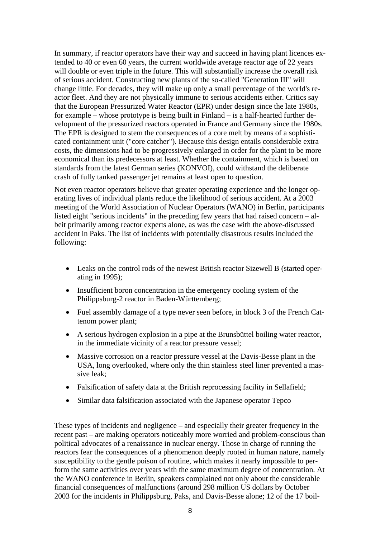In summary, if reactor operators have their way and succeed in having plant licences extended to 40 or even 60 years, the current worldwide average reactor age of 22 years will double or even triple in the future. This will substantially increase the overall risk of serious accident. Constructing new plants of the so-called "Generation III" will change little. For decades, they will make up only a small percentage of the world's reactor fleet. And they are not physically immune to serious accidents either. Critics say that the European Pressurized Water Reactor (EPR) under design since the late 1980s, for example – whose prototype is being built in Finland – is a half-hearted further development of the pressurized reactors operated in France and Germany since the 1980s. The EPR is designed to stem the consequences of a core melt by means of a sophisticated containment unit ("core catcher"). Because this design entails considerable extra costs, the dimensions had to be progressively enlarged in order for the plant to be more economical than its predecessors at least. Whether the containment, which is based on standards from the latest German series (KONVOI), could withstand the deliberate crash of fully tanked passenger jet remains at least open to question.

Not even reactor operators believe that greater operating experience and the longer operating lives of individual plants reduce the likelihood of serious accident. At a 2003 meeting of the World Association of Nuclear Operators (WANO) in Berlin, participants listed eight "serious incidents" in the preceding few years that had raised concern – albeit primarily among reactor experts alone, as was the case with the above-discussed accident in Paks. The list of incidents with potentially disastrous results included the following:

- Leaks on the control rods of the newest British reactor Sizewell B (started operating in 1995);
- Insufficient boron concentration in the emergency cooling system of the Philippsburg-2 reactor in Baden-Württemberg;
- Fuel assembly damage of a type never seen before, in block 3 of the French Cattenom power plant;
- A serious hydrogen explosion in a pipe at the Brunsbüttel boiling water reactor, in the immediate vicinity of a reactor pressure vessel;
- Massive corrosion on a reactor pressure vessel at the Davis-Besse plant in the USA, long overlooked, where only the thin stainless steel liner prevented a massive leak;
- Falsification of safety data at the British reprocessing facility in Sellafield;
- Similar data falsification associated with the Japanese operator Tepco

These types of incidents and negligence – and especially their greater frequency in the recent past – are making operators noticeably more worried and problem-conscious than political advocates of a renaissance in nuclear energy. Those in charge of running the reactors fear the consequences of a phenomenon deeply rooted in human nature, namely susceptibility to the gentle poison of routine, which makes it nearly impossible to perform the same activities over years with the same maximum degree of concentration. At the WANO conference in Berlin, speakers complained not only about the considerable financial consequences of malfunctions (around 298 million US dollars by October 2003 for the incidents in Philippsburg, Paks, and Davis-Besse alone; 12 of the 17 boil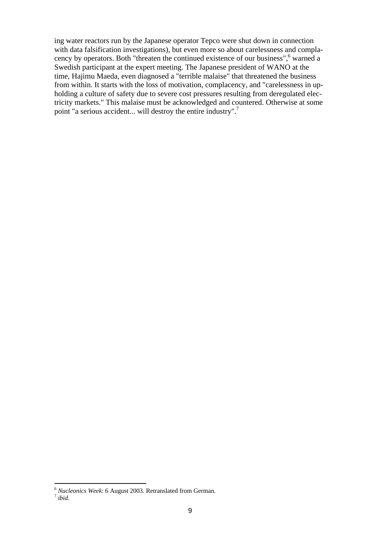ing water reactors run by the Japanese operator Tepco were shut down in connection with data falsification investigations), but even more so about carelessness and complacency by operators. Both "threaten the continued existence of our business", warned a Swedish participant at the expert meeting. The Japanese president of WANO at the time, Hajimu Maeda, even diagnosed a "terrible malaise" that threatened the business from within. It starts with the loss of motivation, complacency, and "carelessness in upholding a culture of safety due to severe cost pressures resulting from deregulated electricity markets." This malaise must be acknowledged and countered. Otherwise at some point "a serious accident... will destroy the entire industry".7

<sup>6</sup> *Nucleonics Week*: 6 August 2003. Retranslated from German. 7 *ibid*.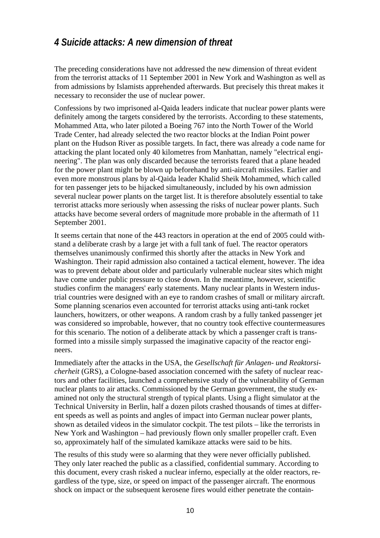### *4 Suicide attacks: A new dimension of threat*

The preceding considerations have not addressed the new dimension of threat evident from the terrorist attacks of 11 September 2001 in New York and Washington as well as from admissions by Islamists apprehended afterwards. But precisely this threat makes it necessary to reconsider the use of nuclear power.

Confessions by two imprisoned al-Qaida leaders indicate that nuclear power plants were definitely among the targets considered by the terrorists. According to these statements, Mohammed Atta, who later piloted a Boeing 767 into the North Tower of the World Trade Center, had already selected the two reactor blocks at the Indian Point power plant on the Hudson River as possible targets. In fact, there was already a code name for attacking the plant located only 40 kilometres from Manhattan, namely "electrical engineering". The plan was only discarded because the terrorists feared that a plane headed for the power plant might be blown up beforehand by anti-aircraft missiles. Earlier and even more monstrous plans by al-Qaida leader Khalid Sheik Mohammed, which called for ten passenger jets to be hijacked simultaneously, included by his own admission several nuclear power plants on the target list. It is therefore absolutely essential to take terrorist attacks more seriously when assessing the risks of nuclear power plants. Such attacks have become several orders of magnitude more probable in the aftermath of 11 September 2001.

It seems certain that none of the 443 reactors in operation at the end of 2005 could withstand a deliberate crash by a large jet with a full tank of fuel. The reactor operators themselves unanimously confirmed this shortly after the attacks in New York and Washington. Their rapid admission also contained a tactical element, however. The idea was to prevent debate about older and particularly vulnerable nuclear sites which might have come under public pressure to close down. In the meantime, however, scientific studies confirm the managers' early statements. Many nuclear plants in Western industrial countries were designed with an eye to random crashes of small or military aircraft. Some planning scenarios even accounted for terrorist attacks using anti-tank rocket launchers, howitzers, or other weapons. A random crash by a fully tanked passenger jet was considered so improbable, however, that no country took effective countermeasures for this scenario. The notion of a deliberate attack by which a passenger craft is transformed into a missile simply surpassed the imaginative capacity of the reactor engineers.

Immediately after the attacks in the USA, the *Gesellschaft für Anlagen- und Reaktorsicherheit* (GRS), a Cologne-based association concerned with the safety of nuclear reactors and other facilities, launched a comprehensive study of the vulnerability of German nuclear plants to air attacks. Commissioned by the German government, the study examined not only the structural strength of typical plants. Using a flight simulator at the Technical University in Berlin, half a dozen pilots crashed thousands of times at different speeds as well as points and angles of impact into German nuclear power plants, shown as detailed videos in the simulator cockpit. The test pilots – like the terrorists in New York and Washington – had previously flown only smaller propeller craft. Even so, approximately half of the simulated kamikaze attacks were said to be hits.

The results of this study were so alarming that they were never officially published. They only later reached the public as a classified, confidential summary. According to this document, every crash risked a nuclear inferno, especially at the older reactors, regardless of the type, size, or speed on impact of the passenger aircraft. The enormous shock on impact or the subsequent kerosene fires would either penetrate the contain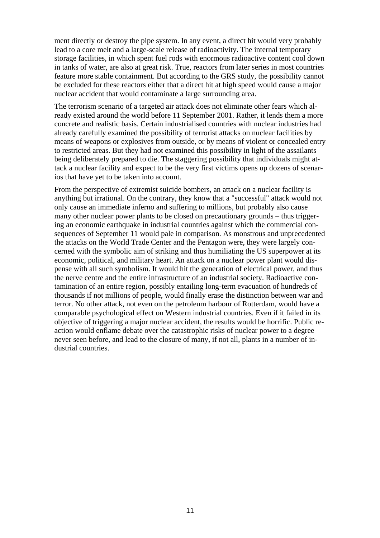ment directly or destroy the pipe system. In any event, a direct hit would very probably lead to a core melt and a large-scale release of radioactivity. The internal temporary storage facilities, in which spent fuel rods with enormous radioactive content cool down in tanks of water, are also at great risk. True, reactors from later series in most countries feature more stable containment. But according to the GRS study, the possibility cannot be excluded for these reactors either that a direct hit at high speed would cause a major nuclear accident that would contaminate a large surrounding area.

The terrorism scenario of a targeted air attack does not eliminate other fears which already existed around the world before 11 September 2001. Rather, it lends them a more concrete and realistic basis. Certain industrialised countries with nuclear industries had already carefully examined the possibility of terrorist attacks on nuclear facilities by means of weapons or explosives from outside, or by means of violent or concealed entry to restricted areas. But they had not examined this possibility in light of the assailants being deliberately prepared to die. The staggering possibility that individuals might attack a nuclear facility and expect to be the very first victims opens up dozens of scenarios that have yet to be taken into account.

From the perspective of extremist suicide bombers, an attack on a nuclear facility is anything but irrational. On the contrary, they know that a "successful" attack would not only cause an immediate inferno and suffering to millions, but probably also cause many other nuclear power plants to be closed on precautionary grounds – thus triggering an economic earthquake in industrial countries against which the commercial consequences of September 11 would pale in comparison. As monstrous and unprecedented the attacks on the World Trade Center and the Pentagon were, they were largely concerned with the symbolic aim of striking and thus humiliating the US superpower at its economic, political, and military heart. An attack on a nuclear power plant would dispense with all such symbolism. It would hit the generation of electrical power, and thus the nerve centre and the entire infrastructure of an industrial society. Radioactive contamination of an entire region, possibly entailing long-term evacuation of hundreds of thousands if not millions of people, would finally erase the distinction between war and terror. No other attack, not even on the petroleum harbour of Rotterdam, would have a comparable psychological effect on Western industrial countries. Even if it failed in its objective of triggering a major nuclear accident, the results would be horrific. Public reaction would enflame debate over the catastrophic risks of nuclear power to a degree never seen before, and lead to the closure of many, if not all, plants in a number of industrial countries.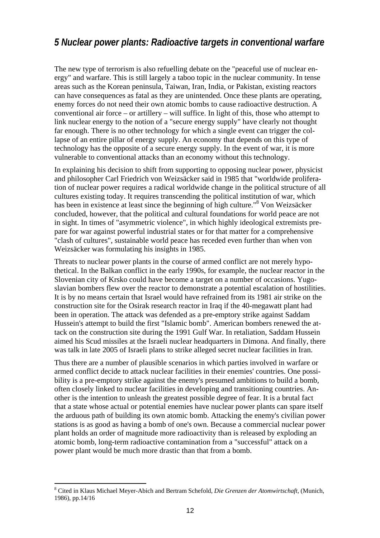# *5 Nuclear power plants: Radioactive targets in conventional warfare*

The new type of terrorism is also refuelling debate on the "peaceful use of nuclear energy" and warfare. This is still largely a taboo topic in the nuclear community. In tense areas such as the Korean peninsula, Taiwan, Iran, India, or Pakistan, existing reactors can have consequences as fatal as they are unintended. Once these plants are operating, enemy forces do not need their own atomic bombs to cause radioactive destruction. A conventional air force – or artillery – will suffice. In light of this, those who attempt to link nuclear energy to the notion of a "secure energy supply" have clearly not thought far enough. There is no other technology for which a single event can trigger the collapse of an entire pillar of energy supply. An economy that depends on this type of technology has the opposite of a secure energy supply. In the event of war, it is more vulnerable to conventional attacks than an economy without this technology.

In explaining his decision to shift from supporting to opposing nuclear power, physicist and philosopher Carl Friedrich von Weizsäcker said in 1985 that "worldwide proliferation of nuclear power requires a radical worldwide change in the political structure of all cultures existing today. It requires transcending the political institution of war, which has been in existence at least since the beginning of high culture."<sup>8</sup> Von Weizsäcker concluded, however, that the political and cultural foundations for world peace are not in sight. In times of "asymmetric violence", in which highly ideological extremists prepare for war against powerful industrial states or for that matter for a comprehensive "clash of cultures", sustainable world peace has receded even further than when von Weizsäcker was formulating his insights in 1985.

Threats to nuclear power plants in the course of armed conflict are not merely hypothetical. In the Balkan conflict in the early 1990s, for example, the nuclear reactor in the Slovenian city of Krsko could have become a target on a number of occasions. Yugoslavian bombers flew over the reactor to demonstrate a potential escalation of hostilities. It is by no means certain that Israel would have refrained from its 1981 air strike on the construction site for the Osirak research reactor in Iraq if the 40-megawatt plant had been in operation. The attack was defended as a pre-emptory strike against Saddam Hussein's attempt to build the first "Islamic bomb". American bombers renewed the attack on the construction site during the 1991 Gulf War. In retaliation, Saddam Hussein aimed his Scud missiles at the Israeli nuclear headquarters in Dimona. And finally, there was talk in late 2005 of Israeli plans to strike alleged secret nuclear facilities in Iran.

Thus there are a number of plausible scenarios in which parties involved in warfare or armed conflict decide to attack nuclear facilities in their enemies' countries. One possibility is a pre-emptory strike against the enemy's presumed ambitions to build a bomb, often closely linked to nuclear facilities in developing and transitioning countries. Another is the intention to unleash the greatest possible degree of fear. It is a brutal fact that a state whose actual or potential enemies have nuclear power plants can spare itself the arduous path of building its own atomic bomb. Attacking the enemy's civilian power stations is as good as having a bomb of one's own. Because a commercial nuclear power plant holds an order of magnitude more radioactivity than is released by exploding an atomic bomb, long-term radioactive contamination from a "successful" attack on a power plant would be much more drastic than that from a bomb.

<sup>8</sup> Cited in Klaus Michael Meyer-Abich and Bertram Schefold, *Die Grenzen der Atomwirtschaft*, (Munich, 1986), pp.14/16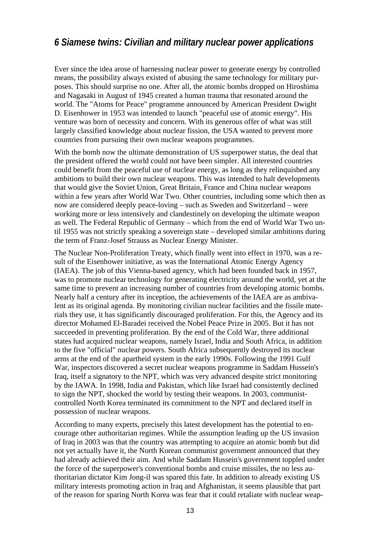### *6 Siamese twins: Civilian and military nuclear power applications*

Ever since the idea arose of harnessing nuclear power to generate energy by controlled means, the possibility always existed of abusing the same technology for military purposes. This should surprise no one. After all, the atomic bombs dropped on Hiroshima and Nagasaki in August of 1945 created a human trauma that resonated around the world. The "Atoms for Peace" programme announced by American President Dwight D. Eisenhower in 1953 was intended to launch "peaceful use of atomic energy". His venture was born of necessity and concern. With its generous offer of what was still largely classified knowledge about nuclear fission, the USA wanted to prevent more countries from pursuing their own nuclear weapons programmes.

With the bomb now the ultimate demonstration of US superpower status, the deal that the president offered the world could not have been simpler. All interested countries could benefit from the peaceful use of nuclear energy, as long as they relinquished any ambitions to build their own nuclear weapons. This was intended to halt developments that would give the Soviet Union, Great Britain, France and China nuclear weapons within a few years after World War Two. Other countries, including some which then as now are considered deeply peace-loving – such as Sweden and Switzerland – were working more or less intensively and clandestinely on developing the ultimate weapon as well. The Federal Republic of Germany – which from the end of World War Two until 1955 was not strictly speaking a sovereign state – developed similar ambitions during the term of Franz-Josef Strauss as Nuclear Energy Minister.

The Nuclear Non-Proliferation Treaty, which finally went into effect in 1970, was a result of the Eisenhower initiative, as was the International Atomic Energy Agency (IAEA). The job of this Vienna-based agency, which had been founded back in 1957, was to promote nuclear technology for generating electricity around the world, yet at the same time to prevent an increasing number of countries from developing atomic bombs. Nearly half a century after its inception, the achievements of the IAEA are as ambivalent as its original agenda. By monitoring civilian nuclear facilities and the fissile materials they use, it has significantly discouraged proliferation. For this, the Agency and its director Mohamed El-Baradei received the Nobel Peace Prize in 2005. But it has not succeeded in preventing proliferation. By the end of the Cold War, three additional states had acquired nuclear weapons, namely Israel, India and South Africa, in addition to the five "official" nuclear powers. South Africa subsequently destroyed its nuclear arms at the end of the apartheid system in the early 1990s. Following the 1991 Gulf War, inspectors discovered a secret nuclear weapons programme in Saddam Hussein's Iraq, itself a signatory to the NPT, which was very advanced despite strict monitoring by the IAWA. In 1998, India and Pakistan, which like Israel had consistently declined to sign the NPT, shocked the world by testing their weapons. In 2003, communistcontrolled North Korea terminated its commitment to the NPT and declared itself in possession of nuclear weapons.

According to many experts, precisely this latest development has the potential to encourage other authoritarian regimes. While the assumption leading up the US invasion of Iraq in 2003 was that the country was attempting to acquire an atomic bomb but did not yet actually have it, the North Korean communist government announced that they had already achieved their aim. And while Saddam Hussein's government toppled under the force of the superpower's conventional bombs and cruise missiles, the no less authoritarian dictator Kim Jong-il was spared this fate. In addition to already existing US military interests promoting action in Iraq and Afghanistan, it seems plausible that part of the reason for sparing North Korea was fear that it could retaliate with nuclear weap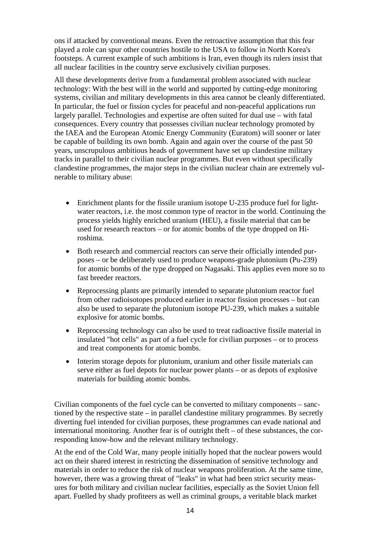ons if attacked by conventional means. Even the retroactive assumption that this fear played a role can spur other countries hostile to the USA to follow in North Korea's footsteps. A current example of such ambitions is Iran, even though its rulers insist that all nuclear facilities in the country serve exclusively civilian purposes.

All these developments derive from a fundamental problem associated with nuclear technology: With the best will in the world and supported by cutting-edge monitoring systems, civilian and military developments in this area cannot be cleanly differentiated. In particular, the fuel or fission cycles for peaceful and non-peaceful applications run largely parallel. Technologies and expertise are often suited for dual use – with fatal consequences. Every country that possesses civilian nuclear technology promoted by the IAEA and the European Atomic Energy Community (Euratom) will sooner or later be capable of building its own bomb. Again and again over the course of the past 50 years, unscrupulous ambitious heads of government have set up clandestine military tracks in parallel to their civilian nuclear programmes. But even without specifically clandestine programmes, the major steps in the civilian nuclear chain are extremely vulnerable to military abuse:

- Enrichment plants for the fissile uranium isotope U-235 produce fuel for lightwater reactors, i.e. the most common type of reactor in the world. Continuing the process yields highly enriched uranium (HEU), a fissile material that can be used for research reactors – or for atomic bombs of the type dropped on Hiroshima.
- Both research and commercial reactors can serve their officially intended purposes – or be deliberately used to produce weapons-grade plutonium (Pu-239) for atomic bombs of the type dropped on Nagasaki. This applies even more so to fast breeder reactors.
- Reprocessing plants are primarily intended to separate plutonium reactor fuel from other radioisotopes produced earlier in reactor fission processes – but can also be used to separate the plutonium isotope PU-239, which makes a suitable explosive for atomic bombs.
- Reprocessing technology can also be used to treat radioactive fissile material in insulated "hot cells" as part of a fuel cycle for civilian purposes – or to process and treat components for atomic bombs.
- Interim storage depots for plutonium, uranium and other fissile materials can serve either as fuel depots for nuclear power plants – or as depots of explosive materials for building atomic bombs.

Civilian components of the fuel cycle can be converted to military components – sanctioned by the respective state – in parallel clandestine military programmes. By secretly diverting fuel intended for civilian purposes, these programmes can evade national and international monitoring. Another fear is of outright theft – of these substances, the corresponding know-how and the relevant military technology.

At the end of the Cold War, many people initially hoped that the nuclear powers would act on their shared interest in restricting the dissemination of sensitive technology and materials in order to reduce the risk of nuclear weapons proliferation. At the same time, however, there was a growing threat of "leaks" in what had been strict security measures for both military and civilian nuclear facilities, especially as the Soviet Union fell apart. Fuelled by shady profiteers as well as criminal groups, a veritable black market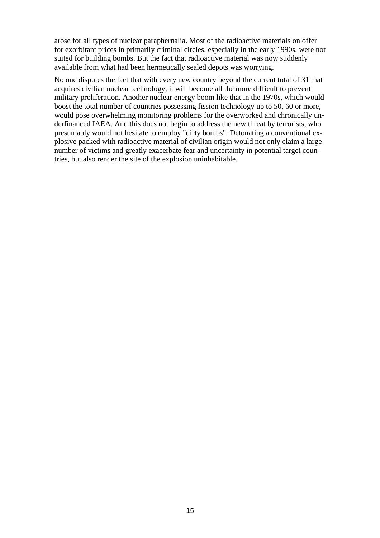arose for all types of nuclear paraphernalia. Most of the radioactive materials on offer for exorbitant prices in primarily criminal circles, especially in the early 1990s, were not suited for building bombs. But the fact that radioactive material was now suddenly available from what had been hermetically sealed depots was worrying.

No one disputes the fact that with every new country beyond the current total of 31 that acquires civilian nuclear technology, it will become all the more difficult to prevent military proliferation. Another nuclear energy boom like that in the 1970s, which would boost the total number of countries possessing fission technology up to 50, 60 or more, would pose overwhelming monitoring problems for the overworked and chronically underfinanced IAEA. And this does not begin to address the new threat by terrorists, who presumably would not hesitate to employ "dirty bombs". Detonating a conventional explosive packed with radioactive material of civilian origin would not only claim a large number of victims and greatly exacerbate fear and uncertainty in potential target countries, but also render the site of the explosion uninhabitable.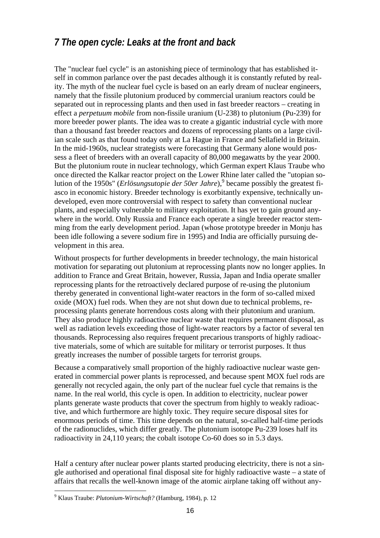# *7 The open cycle: Leaks at the front and back*

The "nuclear fuel cycle" is an astonishing piece of terminology that has established itself in common parlance over the past decades although it is constantly refuted by reality. The myth of the nuclear fuel cycle is based on an early dream of nuclear engineers, namely that the fissile plutonium produced by commercial uranium reactors could be separated out in reprocessing plants and then used in fast breeder reactors – creating in effect a *perpetuum mobile* from non-fissile uranium (U-238) to plutonium (Pu-239) for more breeder power plants. The idea was to create a gigantic industrial cycle with more than a thousand fast breeder reactors and dozens of reprocessing plants on a large civilian scale such as that found today only at La Hague in France and Sellafield in Britain. In the mid-1960s, nuclear strategists were forecasting that Germany alone would possess a fleet of breeders with an overall capacity of 80,000 megawatts by the year 2000. But the plutonium route in nuclear technology, which German expert Klaus Traube who once directed the Kalkar reactor project on the Lower Rhine later called the "utopian solution of the 1950s" (*Erlösungsutopie der 50er Jahre*),<sup>9</sup> became possibly the greatest fiasco in economic history. Breeder technology is exorbitantly expensive, technically undeveloped, even more controversial with respect to safety than conventional nuclear plants, and especially vulnerable to military exploitation. It has yet to gain ground anywhere in the world. Only Russia and France each operate a single breeder reactor stemming from the early development period. Japan (whose prototype breeder in Monju has been idle following a severe sodium fire in 1995) and India are officially pursuing development in this area.

Without prospects for further developments in breeder technology, the main historical motivation for separating out plutonium at reprocessing plants now no longer applies. In addition to France and Great Britain, however, Russia, Japan and India operate smaller reprocessing plants for the retroactively declared purpose of re-using the plutonium thereby generated in conventional light-water reactors in the form of so-called mixed oxide (MOX) fuel rods. When they are not shut down due to technical problems, reprocessing plants generate horrendous costs along with their plutonium and uranium. They also produce highly radioactive nuclear waste that requires permanent disposal, as well as radiation levels exceeding those of light-water reactors by a factor of several ten thousands. Reprocessing also requires frequent precarious transports of highly radioactive materials, some of which are suitable for military or terrorist purposes. It thus greatly increases the number of possible targets for terrorist groups.

Because a comparatively small proportion of the highly radioactive nuclear waste generated in commercial power plants is reprocessed, and because spent MOX fuel rods are generally not recycled again, the only part of the nuclear fuel cycle that remains is the name. In the real world, this cycle is open. In addition to electricity, nuclear power plants generate waste products that cover the spectrum from highly to weakly radioactive, and which furthermore are highly toxic. They require secure disposal sites for enormous periods of time. This time depends on the natural, so-called half-time periods of the radionuclides, which differ greatly. The plutonium isotope Pu-239 loses half its radioactivity in 24,110 years; the cobalt isotope Co-60 does so in 5.3 days.

Half a century after nuclear power plants started producing electricity, there is not a single authorised and operational final disposal site for highly radioactive waste – a state of affairs that recalls the well-known image of the atomic airplane taking off without any-

<sup>9</sup> Klaus Traube: *Plutonium-Wirtschaft?* (Hamburg, 1984), p. 12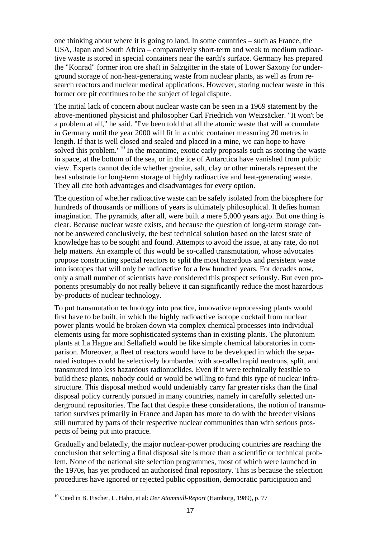one thinking about where it is going to land. In some countries – such as France, the USA, Japan and South Africa – comparatively short-term and weak to medium radioactive waste is stored in special containers near the earth's surface. Germany has prepared the "Konrad" former iron ore shaft in Salzgitter in the state of Lower Saxony for underground storage of non-heat-generating waste from nuclear plants, as well as from research reactors and nuclear medical applications. However, storing nuclear waste in this former ore pit continues to be the subject of legal dispute.

The initial lack of concern about nuclear waste can be seen in a 1969 statement by the above-mentioned physicist and philosopher Carl Friedrich von Weizsäcker. "It won't be a problem at all," he said. "I've been told that all the atomic waste that will accumulate in Germany until the year 2000 will fit in a cubic container measuring 20 metres in length. If that is well closed and sealed and placed in a mine, we can hope to have solved this problem."<sup>10</sup> In the meantime, exotic early proposals such as storing the waste in space, at the bottom of the sea, or in the ice of Antarctica have vanished from public view. Experts cannot decide whether granite, salt, clay or other minerals represent the best substrate for long-term storage of highly radioactive and heat-generating waste. They all cite both advantages and disadvantages for every option.

The question of whether radioactive waste can be safely isolated from the biosphere for hundreds of thousands or millions of years is ultimately philosophical. It defies human imagination. The pyramids, after all, were built a mere 5,000 years ago. But one thing is clear. Because nuclear waste exists, and because the question of long-term storage cannot be answered conclusively, the best technical solution based on the latest state of knowledge has to be sought and found. Attempts to avoid the issue, at any rate, do not help matters. An example of this would be so-called transmutation, whose advocates propose constructing special reactors to split the most hazardous and persistent waste into isotopes that will only be radioactive for a few hundred years. For decades now, only a small number of scientists have considered this prospect seriously. But even proponents presumably do not really believe it can significantly reduce the most hazardous by-products of nuclear technology.

To put transmutation technology into practice, innovative reprocessing plants would first have to be built, in which the highly radioactive isotope cocktail from nuclear power plants would be broken down via complex chemical processes into individual elements using far more sophisticated systems than in existing plants. The plutonium plants at La Hague and Sellafield would be like simple chemical laboratories in comparison. Moreover, a fleet of reactors would have to be developed in which the separated isotopes could be selectively bombarded with so-called rapid neutrons, split, and transmuted into less hazardous radionuclides. Even if it were technically feasible to build these plants, nobody could or would be willing to fund this type of nuclear infrastructure. This disposal method would undeniably carry far greater risks than the final disposal policy currently pursued in many countries, namely in carefully selected underground repositories. The fact that despite these considerations, the notion of transmutation survives primarily in France and Japan has more to do with the breeder visions still nurtured by parts of their respective nuclear communities than with serious prospects of being put into practice.

Gradually and belatedly, the major nuclear-power producing countries are reaching the conclusion that selecting a final disposal site is more than a scientific or technical problem. None of the national site selection programmes, most of which were launched in the 1970s, has yet produced an authorised final repository. This is because the selection procedures have ignored or rejected public opposition, democratic participation and

<sup>10</sup> Cited in B. Fischer, L. Hahn, et al: *Der Atommüll-Report* (Hamburg, 1989), p. 77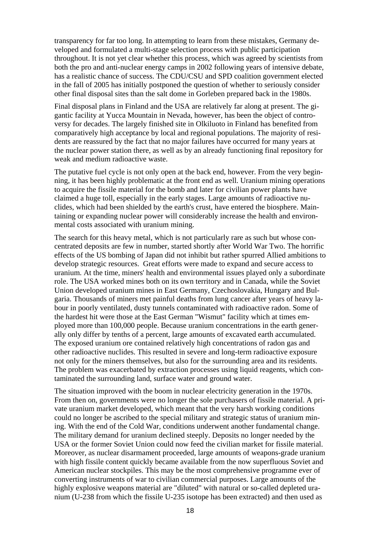transparency for far too long. In attempting to learn from these mistakes, Germany developed and formulated a multi-stage selection process with public participation throughout. It is not yet clear whether this process, which was agreed by scientists from both the pro and anti-nuclear energy camps in 2002 following years of intensive debate, has a realistic chance of success. The CDU/CSU and SPD coalition government elected in the fall of 2005 has initially postponed the question of whether to seriously consider other final disposal sites than the salt dome in Gorleben prepared back in the 1980s.

Final disposal plans in Finland and the USA are relatively far along at present. The gigantic facility at Yucca Mountain in Nevada, however, has been the object of controversy for decades. The largely finished site in Olkiluoto in Finland has benefited from comparatively high acceptance by local and regional populations. The majority of residents are reassured by the fact that no major failures have occurred for many years at the nuclear power station there, as well as by an already functioning final repository for weak and medium radioactive waste.

The putative fuel cycle is not only open at the back end, however. From the very beginning, it has been highly problematic at the front end as well. Uranium mining operations to acquire the fissile material for the bomb and later for civilian power plants have claimed a huge toll, especially in the early stages. Large amounts of radioactive nuclides, which had been shielded by the earth's crust, have entered the biosphere. Maintaining or expanding nuclear power will considerably increase the health and environmental costs associated with uranium mining.

The search for this heavy metal, which is not particularly rare as such but whose concentrated deposits are few in number, started shortly after World War Two. The horrific effects of the US bombing of Japan did not inhibit but rather spurred Allied ambitions to develop strategic resources. Great efforts were made to expand and secure access to uranium. At the time, miners' health and environmental issues played only a subordinate role. The USA worked mines both on its own territory and in Canada, while the Soviet Union developed uranium mines in East Germany, Czechoslovakia, Hungary and Bulgaria. Thousands of miners met painful deaths from lung cancer after years of heavy labour in poorly ventilated, dusty tunnels contaminated with radioactive radon. Some of the hardest hit were those at the East German "Wismut" facility which at times employed more than 100,000 people. Because uranium concentrations in the earth generally only differ by tenths of a percent, large amounts of excavated earth accumulated. The exposed uranium ore contained relatively high concentrations of radon gas and other radioactive nuclides. This resulted in severe and long-term radioactive exposure not only for the miners themselves, but also for the surrounding area and its residents. The problem was exacerbated by extraction processes using liquid reagents, which contaminated the surrounding land, surface water and ground water.

The situation improved with the boom in nuclear electricity generation in the 1970s. From then on, governments were no longer the sole purchasers of fissile material. A private uranium market developed, which meant that the very harsh working conditions could no longer be ascribed to the special military and strategic status of uranium mining. With the end of the Cold War, conditions underwent another fundamental change. The military demand for uranium declined steeply. Deposits no longer needed by the USA or the former Soviet Union could now feed the civilian market for fissile material. Moreover, as nuclear disarmament proceeded, large amounts of weapons-grade uranium with high fissile content quickly became available from the now superfluous Soviet and American nuclear stockpiles. This may be the most comprehensive programme ever of converting instruments of war to civilian commercial purposes. Large amounts of the highly explosive weapons material are "diluted" with natural or so-called depleted uranium (U-238 from which the fissile U-235 isotope has been extracted) and then used as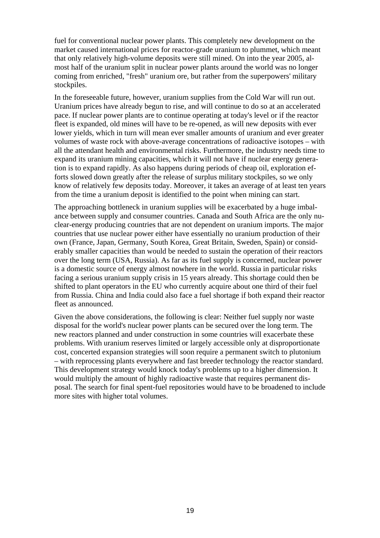fuel for conventional nuclear power plants. This completely new development on the market caused international prices for reactor-grade uranium to plummet, which meant that only relatively high-volume deposits were still mined. On into the year 2005, almost half of the uranium split in nuclear power plants around the world was no longer coming from enriched, "fresh" uranium ore, but rather from the superpowers' military stockpiles.

In the foreseeable future, however, uranium supplies from the Cold War will run out. Uranium prices have already begun to rise, and will continue to do so at an accelerated pace. If nuclear power plants are to continue operating at today's level or if the reactor fleet is expanded, old mines will have to be re-opened, as will new deposits with ever lower yields, which in turn will mean ever smaller amounts of uranium and ever greater volumes of waste rock with above-average concentrations of radioactive isotopes – with all the attendant health and environmental risks. Furthermore, the industry needs time to expand its uranium mining capacities, which it will not have if nuclear energy generation is to expand rapidly. As also happens during periods of cheap oil, exploration efforts slowed down greatly after the release of surplus military stockpiles, so we only know of relatively few deposits today. Moreover, it takes an average of at least ten years from the time a uranium deposit is identified to the point when mining can start.

The approaching bottleneck in uranium supplies will be exacerbated by a huge imbalance between supply and consumer countries. Canada and South Africa are the only nuclear-energy producing countries that are not dependent on uranium imports. The major countries that use nuclear power either have essentially no uranium production of their own (France, Japan, Germany, South Korea, Great Britain, Sweden, Spain) or considerably smaller capacities than would be needed to sustain the operation of their reactors over the long term (USA, Russia). As far as its fuel supply is concerned, nuclear power is a domestic source of energy almost nowhere in the world. Russia in particular risks facing a serious uranium supply crisis in 15 years already. This shortage could then be shifted to plant operators in the EU who currently acquire about one third of their fuel from Russia. China and India could also face a fuel shortage if both expand their reactor fleet as announced.

Given the above considerations, the following is clear: Neither fuel supply nor waste disposal for the world's nuclear power plants can be secured over the long term. The new reactors planned and under construction in some countries will exacerbate these problems. With uranium reserves limited or largely accessible only at disproportionate cost, concerted expansion strategies will soon require a permanent switch to plutonium – with reprocessing plants everywhere and fast breeder technology the reactor standard. This development strategy would knock today's problems up to a higher dimension. It would multiply the amount of highly radioactive waste that requires permanent disposal. The search for final spent-fuel repositories would have to be broadened to include more sites with higher total volumes.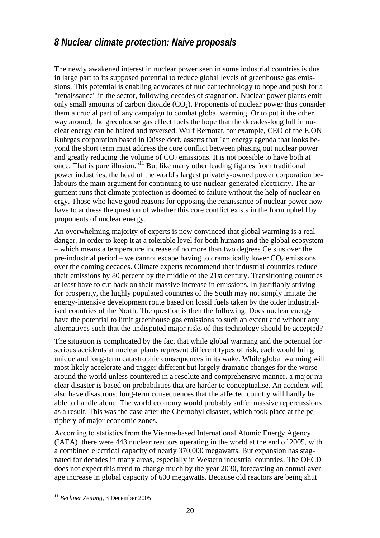# *8 Nuclear climate protection: Naive proposals*

The newly awakened interest in nuclear power seen in some industrial countries is due in large part to its supposed potential to reduce global levels of greenhouse gas emissions. This potential is enabling advocates of nuclear technology to hope and push for a "renaissance" in the sector, following decades of stagnation. Nuclear power plants emit only small amounts of carbon dioxide  $(CO<sub>2</sub>)$ . Proponents of nuclear power thus consider them a crucial part of any campaign to combat global warming. Or to put it the other way around, the greenhouse gas effect fuels the hope that the decades-long lull in nuclear energy can be halted and reversed. Wulf Bernotat, for example, CEO of the E.ON Ruhrgas corporation based in Düsseldorf, asserts that "an energy agenda that looks beyond the short term must address the core conflict between phasing out nuclear power and greatly reducing the volume of  $CO<sub>2</sub>$  emissions. It is not possible to have both at once. That is pure illusion."11 But like many other leading figures from traditional power industries, the head of the world's largest privately-owned power corporation belabours the main argument for continuing to use nuclear-generated electricity. The argument runs that climate protection is doomed to failure without the help of nuclear energy. Those who have good reasons for opposing the renaissance of nuclear power now have to address the question of whether this core conflict exists in the form upheld by proponents of nuclear energy.

An overwhelming majority of experts is now convinced that global warming is a real danger. In order to keep it at a tolerable level for both humans and the global ecosystem – which means a temperature increase of no more than two degrees Celsius over the pre-industrial period – we cannot escape having to dramatically lower  $CO<sub>2</sub>$  emissions over the coming decades. Climate experts recommend that industrial countries reduce their emissions by 80 percent by the middle of the 21st century. Transitioning countries at least have to cut back on their massive increase in emissions. In justifiably striving for prosperity, the highly populated countries of the South may not simply imitate the energy-intensive development route based on fossil fuels taken by the older industrialised countries of the North. The question is then the following: Does nuclear energy have the potential to limit greenhouse gas emissions to such an extent and without any alternatives such that the undisputed major risks of this technology should be accepted?

The situation is complicated by the fact that while global warming and the potential for serious accidents at nuclear plants represent different types of risk, each would bring unique and long-term catastrophic consequences in its wake. While global warming will most likely accelerate and trigger different but largely dramatic changes for the worse around the world unless countered in a resolute and comprehensive manner, a major nuclear disaster is based on probabilities that are harder to conceptualise. An accident will also have disastrous, long-term consequences that the affected country will hardly be able to handle alone. The world economy would probably suffer massive repercussions as a result. This was the case after the Chernobyl disaster, which took place at the periphery of major economic zones.

According to statistics from the Vienna-based International Atomic Energy Agency (IAEA), there were 443 nuclear reactors operating in the world at the end of 2005, with a combined electrical capacity of nearly 370,000 megawatts. But expansion has stagnated for decades in many areas, especially in Western industrial countries. The OECD does not expect this trend to change much by the year 2030, forecasting an annual average increase in global capacity of 600 megawatts. Because old reactors are being shut

<sup>11</sup> *Berliner Zeitung*, 3 December 2005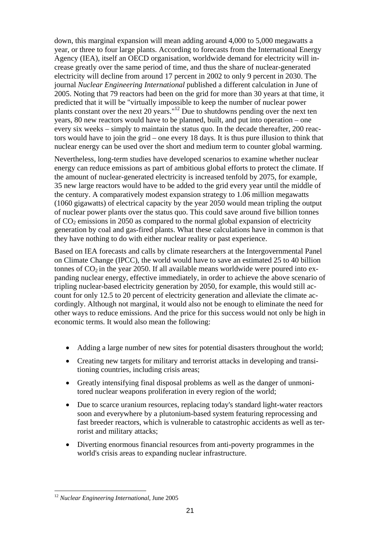down, this marginal expansion will mean adding around 4,000 to 5,000 megawatts a year, or three to four large plants. According to forecasts from the International Energy Agency (IEA), itself an OECD organisation, worldwide demand for electricity will increase greatly over the same period of time, and thus the share of nuclear-generated electricity will decline from around 17 percent in 2002 to only 9 percent in 2030. The journal *Nuclear Engineering International* published a different calculation in June of 2005. Noting that 79 reactors had been on the grid for more than 30 years at that time, it predicted that it will be "virtually impossible to keep the number of nuclear power plants constant over the next 20 years."<sup>12</sup> Due to shutdowns pending over the next ten years, 80 new reactors would have to be planned, built, and put into operation – one every six weeks – simply to maintain the status quo. In the decade thereafter, 200 reactors would have to join the grid – one every 18 days. It is thus pure illusion to think that nuclear energy can be used over the short and medium term to counter global warming.

Nevertheless, long-term studies have developed scenarios to examine whether nuclear energy can reduce emissions as part of ambitious global efforts to protect the climate. If the amount of nuclear-generated electricity is increased tenfold by 2075, for example, 35 new large reactors would have to be added to the grid every year until the middle of the century. A comparatively modest expansion strategy to 1.06 million megawatts (1060 gigawatts) of electrical capacity by the year 2050 would mean tripling the output of nuclear power plants over the status quo. This could save around five billion tonnes of  $CO<sub>2</sub>$  emissions in 2050 as compared to the normal global expansion of electricity generation by coal and gas-fired plants. What these calculations have in common is that they have nothing to do with either nuclear reality or past experience.

Based on IEA forecasts and calls by climate researchers at the Intergovernmental Panel on Climate Change (IPCC), the world would have to save an estimated 25 to 40 billion tonnes of  $CO<sub>2</sub>$  in the year 2050. If all available means worldwide were poured into expanding nuclear energy, effective immediately, in order to achieve the above scenario of tripling nuclear-based electricity generation by 2050, for example, this would still account for only 12.5 to 20 percent of electricity generation and alleviate the climate accordingly. Although not marginal, it would also not be enough to eliminate the need for other ways to reduce emissions. And the price for this success would not only be high in economic terms. It would also mean the following:

- Adding a large number of new sites for potential disasters throughout the world;
- Creating new targets for military and terrorist attacks in developing and transitioning countries, including crisis areas;
- Greatly intensifying final disposal problems as well as the danger of unmonitored nuclear weapons proliferation in every region of the world;
- Due to scarce uranium resources, replacing today's standard light-water reactors soon and everywhere by a plutonium-based system featuring reprocessing and fast breeder reactors, which is vulnerable to catastrophic accidents as well as terrorist and military attacks;
- Diverting enormous financial resources from anti-poverty programmes in the world's crisis areas to expanding nuclear infrastructure.

<sup>12</sup> *Nuclear Engineering International*, June 2005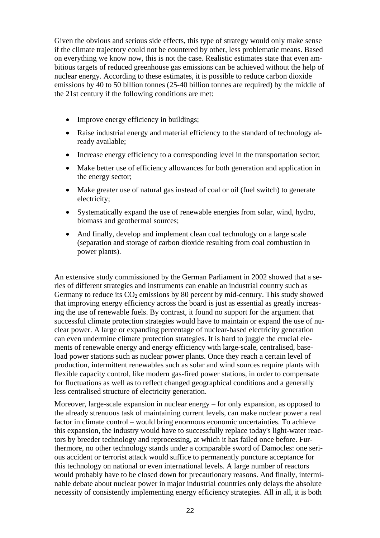Given the obvious and serious side effects, this type of strategy would only make sense if the climate trajectory could not be countered by other, less problematic means. Based on everything we know now, this is not the case. Realistic estimates state that even ambitious targets of reduced greenhouse gas emissions can be achieved without the help of nuclear energy. According to these estimates, it is possible to reduce carbon dioxide emissions by 40 to 50 billion tonnes (25-40 billion tonnes are required) by the middle of the 21st century if the following conditions are met:

- Improve energy efficiency in buildings;
- Raise industrial energy and material efficiency to the standard of technology already available;
- Increase energy efficiency to a corresponding level in the transportation sector;
- Make better use of efficiency allowances for both generation and application in the energy sector;
- Make greater use of natural gas instead of coal or oil (fuel switch) to generate electricity;
- Systematically expand the use of renewable energies from solar, wind, hydro, biomass and geothermal sources;
- And finally, develop and implement clean coal technology on a large scale (separation and storage of carbon dioxide resulting from coal combustion in power plants).

An extensive study commissioned by the German Parliament in 2002 showed that a series of different strategies and instruments can enable an industrial country such as Germany to reduce its  $CO<sub>2</sub>$  emissions by 80 percent by mid-century. This study showed that improving energy efficiency across the board is just as essential as greatly increasing the use of renewable fuels. By contrast, it found no support for the argument that successful climate protection strategies would have to maintain or expand the use of nuclear power. A large or expanding percentage of nuclear-based electricity generation can even undermine climate protection strategies. It is hard to juggle the crucial elements of renewable energy and energy efficiency with large-scale, centralised, baseload power stations such as nuclear power plants. Once they reach a certain level of production, intermittent renewables such as solar and wind sources require plants with flexible capacity control, like modern gas-fired power stations, in order to compensate for fluctuations as well as to reflect changed geographical conditions and a generally less centralised structure of electricity generation.

Moreover, large-scale expansion in nuclear energy – for only expansion, as opposed to the already strenuous task of maintaining current levels, can make nuclear power a real factor in climate control – would bring enormous economic uncertainties. To achieve this expansion, the industry would have to successfully replace today's light-water reactors by breeder technology and reprocessing, at which it has failed once before. Furthermore, no other technology stands under a comparable sword of Damocles: one serious accident or terrorist attack would suffice to permanently puncture acceptance for this technology on national or even international levels. A large number of reactors would probably have to be closed down for precautionary reasons. And finally, interminable debate about nuclear power in major industrial countries only delays the absolute necessity of consistently implementing energy efficiency strategies. All in all, it is both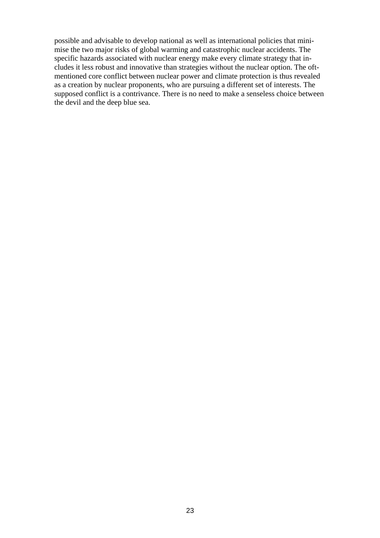possible and advisable to develop national as well as international policies that minimise the two major risks of global warming and catastrophic nuclear accidents. The specific hazards associated with nuclear energy make every climate strategy that includes it less robust and innovative than strategies without the nuclear option. The oftmentioned core conflict between nuclear power and climate protection is thus revealed as a creation by nuclear proponents, who are pursuing a different set of interests. The supposed conflict is a contrivance. There is no need to make a senseless choice between the devil and the deep blue sea.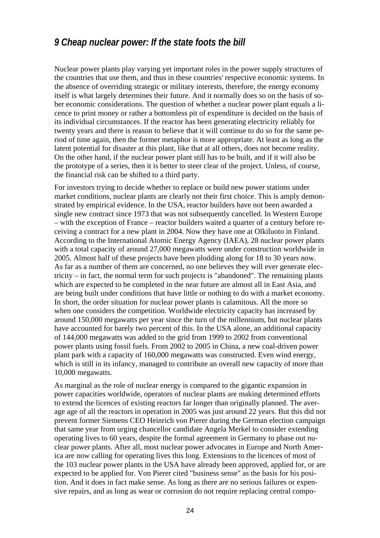### *9 Cheap nuclear power: If the state foots the bill*

Nuclear power plants play varying yet important roles in the power supply structures of the countries that use them, and thus in these countries' respective economic systems. In the absence of overriding strategic or military interests, therefore, the energy economy itself is what largely determines their future. And it normally does so on the basis of sober economic considerations. The question of whether a nuclear power plant equals a licence to print money or rather a bottomless pit of expenditure is decided on the basis of its individual circumstances. If the reactor has been generating electricity reliably for twenty years and there is reason to believe that it will continue to do so for the same period of time again, then the former metaphor is more appropriate. At least as long as the latent potential for disaster at this plant, like that at all others, does not become reality. On the other hand, if the nuclear power plant still has to be built, and if it will also be the prototype of a series, then it is better to steer clear of the project. Unless, of course, the financial risk can be shifted to a third party.

For investors trying to decide whether to replace or build new power stations under market conditions, nuclear plants are clearly not their first choice. This is amply demonstrated by empirical evidence. In the USA, reactor builders have not been awarded a single new contract since 1973 that was not subsequently cancelled. In Western Europe – with the exception of France – reactor builders waited a quarter of a century before receiving a contract for a new plant in 2004. Now they have one at Olkiluoto in Finland. According to the International Atomic Energy Agency (IAEA), 28 nuclear power plants with a total capacity of around 27,000 megawatts were under construction worldwide in 2005. Almost half of these projects have been plodding along for 18 to 30 years now. As far as a number of them are concerned, no one believes they will ever generate electricity – in fact, the normal term for such projects is "abandoned". The remaining plants which are expected to be completed in the near future are almost all in East Asia, and are being built under conditions that have little or nothing to do with a market economy. In short, the order situation for nuclear power plants is calamitous. All the more so when one considers the competition. Worldwide electricity capacity has increased by around 150,000 megawatts per year since the turn of the millennium, but nuclear plants have accounted for barely two percent of this. In the USA alone, an additional capacity of 144,000 megawatts was added to the grid from 1999 to 2002 from conventional power plants using fossil fuels. From 2002 to 2005 in China, a new coal-driven power plant park with a capacity of 160,000 megawatts was constructed. Even wind energy, which is still in its infancy, managed to contribute an overall new capacity of more than 10,000 megawatts.

As marginal as the role of nuclear energy is compared to the gigantic expansion in power capacities worldwide, operators of nuclear plants are making determined efforts to extend the licences of existing reactors far longer than originally planned. The average age of all the reactors in operation in 2005 was just around 22 years. But this did not prevent former Siemens CEO Heinrich von Pierer during the German election campaign that same year from urging chancellor candidate Angela Merkel to consider extending operating lives to 60 years, despite the formal agreement in Germany to phase out nuclear power plants. After all, most nuclear power advocates in Europe and North America are now calling for operating lives this long. Extensions to the licences of most of the 103 nuclear power plants in the USA have already been approved, applied for, or are expected to be applied for. Von Pierer cited "business sense" as the basis for his position. And it does in fact make sense. As long as there are no serious failures or expensive repairs, and as long as wear or corrosion do not require replacing central compo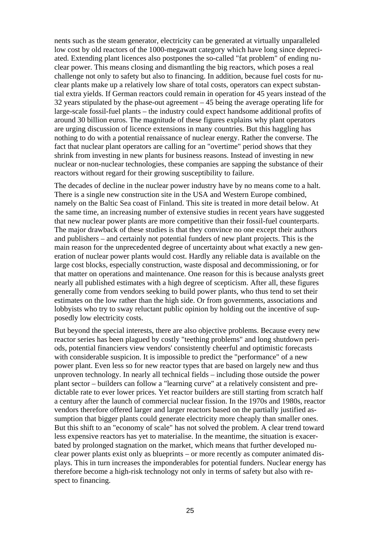nents such as the steam generator, electricity can be generated at virtually unparalleled low cost by old reactors of the 1000-megawatt category which have long since depreciated. Extending plant licences also postpones the so-called "fat problem" of ending nuclear power. This means closing and dismantling the big reactors, which poses a real challenge not only to safety but also to financing. In addition, because fuel costs for nuclear plants make up a relatively low share of total costs, operators can expect substantial extra yields. If German reactors could remain in operation for 45 years instead of the 32 years stipulated by the phase-out agreement – 45 being the average operating life for large-scale fossil-fuel plants – the industry could expect handsome additional profits of around 30 billion euros. The magnitude of these figures explains why plant operators are urging discussion of licence extensions in many countries. But this haggling has nothing to do with a potential renaissance of nuclear energy. Rather the converse. The fact that nuclear plant operators are calling for an "overtime" period shows that they shrink from investing in new plants for business reasons. Instead of investing in new nuclear or non-nuclear technologies, these companies are sapping the substance of their reactors without regard for their growing susceptibility to failure.

The decades of decline in the nuclear power industry have by no means come to a halt. There is a single new construction site in the USA and Western Europe combined, namely on the Baltic Sea coast of Finland. This site is treated in more detail below. At the same time, an increasing number of extensive studies in recent years have suggested that new nuclear power plants are more competitive than their fossil-fuel counterparts. The major drawback of these studies is that they convince no one except their authors and publishers – and certainly not potential funders of new plant projects. This is the main reason for the unprecedented degree of uncertainty about what exactly a new generation of nuclear power plants would cost. Hardly any reliable data is available on the large cost blocks, especially construction, waste disposal and decommissioning, or for that matter on operations and maintenance. One reason for this is because analysts greet nearly all published estimates with a high degree of scepticism. After all, these figures generally come from vendors seeking to build power plants, who thus tend to set their estimates on the low rather than the high side. Or from governments, associations and lobbyists who try to sway reluctant public opinion by holding out the incentive of supposedly low electricity costs.

But beyond the special interests, there are also objective problems. Because every new reactor series has been plagued by costly "teething problems" and long shutdown periods, potential financiers view vendors' consistently cheerful and optimistic forecasts with considerable suspicion. It is impossible to predict the "performance" of a new power plant. Even less so for new reactor types that are based on largely new and thus unproven technology. In nearly all technical fields – including those outside the power plant sector – builders can follow a "learning curve" at a relatively consistent and predictable rate to ever lower prices. Yet reactor builders are still starting from scratch half a century after the launch of commercial nuclear fission. In the 1970s and 1980s, reactor vendors therefore offered larger and larger reactors based on the partially justified assumption that bigger plants could generate electricity more cheaply than smaller ones. But this shift to an "economy of scale" has not solved the problem. A clear trend toward less expensive reactors has yet to materialise. In the meantime, the situation is exacerbated by prolonged stagnation on the market, which means that further developed nuclear power plants exist only as blueprints – or more recently as computer animated displays. This in turn increases the imponderables for potential funders. Nuclear energy has therefore become a high-risk technology not only in terms of safety but also with respect to financing.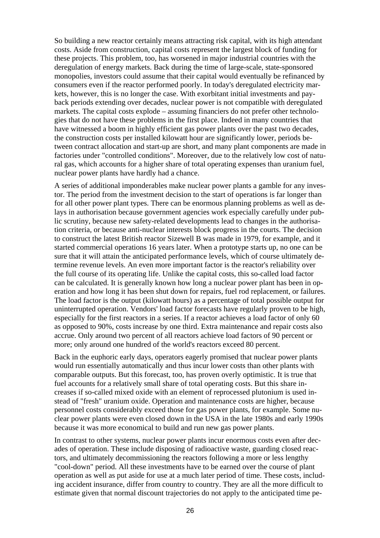So building a new reactor certainly means attracting risk capital, with its high attendant costs. Aside from construction, capital costs represent the largest block of funding for these projects. This problem, too, has worsened in major industrial countries with the deregulation of energy markets. Back during the time of large-scale, state-sponsored monopolies, investors could assume that their capital would eventually be refinanced by consumers even if the reactor performed poorly. In today's deregulated electricity markets, however, this is no longer the case. With exorbitant initial investments and payback periods extending over decades, nuclear power is not compatible with deregulated markets. The capital costs explode – assuming financiers do not prefer other technologies that do not have these problems in the first place. Indeed in many countries that have witnessed a boom in highly efficient gas power plants over the past two decades, the construction costs per installed kilowatt hour are significantly lower, periods between contract allocation and start-up are short, and many plant components are made in factories under "controlled conditions". Moreover, due to the relatively low cost of natural gas, which accounts for a higher share of total operating expenses than uranium fuel, nuclear power plants have hardly had a chance.

A series of additional imponderables make nuclear power plants a gamble for any investor. The period from the investment decision to the start of operations is far longer than for all other power plant types. There can be enormous planning problems as well as delays in authorisation because government agencies work especially carefully under public scrutiny, because new safety-related developments lead to changes in the authorisation criteria, or because anti-nuclear interests block progress in the courts. The decision to construct the latest British reactor Sizewell B was made in 1979, for example, and it started commercial operations 16 years later. When a prototype starts up, no one can be sure that it will attain the anticipated performance levels, which of course ultimately determine revenue levels. An even more important factor is the reactor's reliability over the full course of its operating life. Unlike the capital costs, this so-called load factor can be calculated. It is generally known how long a nuclear power plant has been in operation and how long it has been shut down for repairs, fuel rod replacement, or failures. The load factor is the output (kilowatt hours) as a percentage of total possible output for uninterrupted operation. Vendors' load factor forecasts have regularly proven to be high, especially for the first reactors in a series. If a reactor achieves a load factor of only 60 as opposed to 90%, costs increase by one third. Extra maintenance and repair costs also accrue. Only around two percent of all reactors achieve load factors of 90 percent or more; only around one hundred of the world's reactors exceed 80 percent.

Back in the euphoric early days, operators eagerly promised that nuclear power plants would run essentially automatically and thus incur lower costs than other plants with comparable outputs. But this forecast, too, has proven overly optimistic. It is true that fuel accounts for a relatively small share of total operating costs. But this share increases if so-called mixed oxide with an element of reprocessed plutonium is used instead of "fresh" uranium oxide. Operation and maintenance costs are higher, because personnel costs considerably exceed those for gas power plants, for example. Some nuclear power plants were even closed down in the USA in the late 1980s and early 1990s because it was more economical to build and run new gas power plants.

In contrast to other systems, nuclear power plants incur enormous costs even after decades of operation. These include disposing of radioactive waste, guarding closed reactors, and ultimately decommissioning the reactors following a more or less lengthy "cool-down" period. All these investments have to be earned over the course of plant operation as well as put aside for use at a much later period of time. These costs, including accident insurance, differ from country to country. They are all the more difficult to estimate given that normal discount trajectories do not apply to the anticipated time pe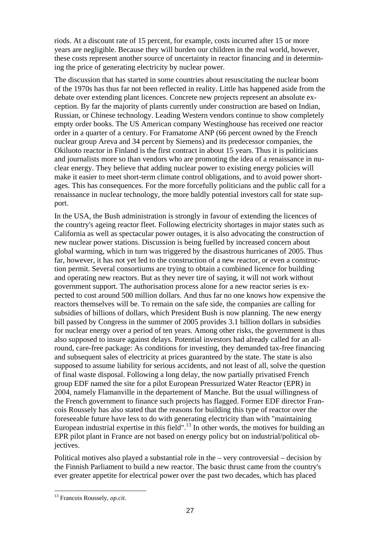riods. At a discount rate of 15 percent, for example, costs incurred after 15 or more years are negligible. Because they will burden our children in the real world, however, these costs represent another source of uncertainty in reactor financing and in determining the price of generating electricity by nuclear power.

The discussion that has started in some countries about resuscitating the nuclear boom of the 1970s has thus far not been reflected in reality. Little has happened aside from the debate over extending plant licences. Concrete new projects represent an absolute exception. By far the majority of plants currently under construction are based on Indian, Russian, or Chinese technology. Leading Western vendors continue to show completely empty order books. The US American company Westinghouse has received one reactor order in a quarter of a century. For Framatome ANP (66 percent owned by the French nuclear group Areva and 34 percent by Siemens) and its predecessor companies, the Okiluoto reactor in Finland is the first contract in about 15 years. Thus it is politicians and journalists more so than vendors who are promoting the idea of a renaissance in nuclear energy. They believe that adding nuclear power to existing energy policies will make it easier to meet short-term climate control obligations, and to avoid power shortages. This has consequences. For the more forcefully politicians and the public call for a renaissance in nuclear technology, the more baldly potential investors call for state support.

In the USA, the Bush administration is strongly in favour of extending the licences of the country's ageing reactor fleet. Following electricity shortages in major states such as California as well as spectacular power outages, it is also advocating the construction of new nuclear power stations. Discussion is being fuelled by increased concern about global warming, which in turn was triggered by the disastrous hurricanes of 2005. Thus far, however, it has not yet led to the construction of a new reactor, or even a construction permit. Several consortiums are trying to obtain a combined licence for building and operating new reactors. But as they never tire of saying, it will not work without government support. The authorisation process alone for a new reactor series is expected to cost around 500 million dollars. And thus far no one knows how expensive the reactors themselves will be. To remain on the safe side, the companies are calling for subsidies of billions of dollars, which President Bush is now planning. The new energy bill passed by Congress in the summer of 2005 provides 3.1 billion dollars in subsidies for nuclear energy over a period of ten years. Among other risks, the government is thus also supposed to insure against delays. Potential investors had already called for an allround, care-free package: As conditions for investing, they demanded tax-free financing and subsequent sales of electricity at prices guaranteed by the state. The state is also supposed to assume liability for serious accidents, and not least of all, solve the question of final waste disposal. Following a long delay, the now partially privatised French group EDF named the site for a pilot European Pressurized Water Reactor (EPR) in 2004, namely Flamanville in the departement of Manche. But the usual willingness of the French government to finance such projects has flagged. Former EDF director Francois Roussely has also stated that the reasons for building this type of reactor over the foreseeable future have less to do with generating electricity than with "maintaining European industrial expertise in this field".<sup>13</sup> In other words, the motives for building an EPR pilot plant in France are not based on energy policy but on industrial/political objectives.

Political motives also played a substantial role in the – very controversial – decision by the Finnish Parliament to build a new reactor. The basic thrust came from the country's ever greater appetite for electrical power over the past two decades, which has placed

<sup>13</sup> Francois Roussely, *op.cit*.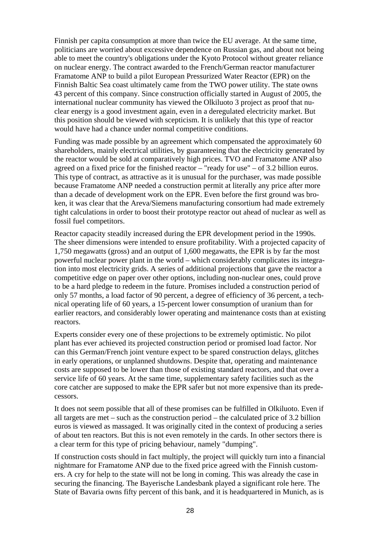Finnish per capita consumption at more than twice the EU average. At the same time, politicians are worried about excessive dependence on Russian gas, and about not being able to meet the country's obligations under the Kyoto Protocol without greater reliance on nuclear energy. The contract awarded to the French/German reactor manufacturer Framatome ANP to build a pilot European Pressurized Water Reactor (EPR) on the Finnish Baltic Sea coast ultimately came from the TWO power utility. The state owns 43 percent of this company. Since construction officially started in August of 2005, the international nuclear community has viewed the Olkiluoto 3 project as proof that nuclear energy is a good investment again, even in a deregulated electricity market. But this position should be viewed with scepticism. It is unlikely that this type of reactor would have had a chance under normal competitive conditions.

Funding was made possible by an agreement which compensated the approximately 60 shareholders, mainly electrical utilities, by guaranteeing that the electricity generated by the reactor would be sold at comparatively high prices. TVO and Framatome ANP also agreed on a fixed price for the finished reactor – "ready for use" – of 3.2 billion euros. This type of contract, as attractive as it is unusual for the purchaser, was made possible because Framatome ANP needed a construction permit at literally any price after more than a decade of development work on the EPR. Even before the first ground was broken, it was clear that the Areva/Siemens manufacturing consortium had made extremely tight calculations in order to boost their prototype reactor out ahead of nuclear as well as fossil fuel competitors.

Reactor capacity steadily increased during the EPR development period in the 1990s. The sheer dimensions were intended to ensure profitability. With a projected capacity of 1,750 megawatts (gross) and an output of 1,600 megawatts, the EPR is by far the most powerful nuclear power plant in the world – which considerably complicates its integration into most electricity grids. A series of additional projections that gave the reactor a competitive edge on paper over other options, including non-nuclear ones, could prove to be a hard pledge to redeem in the future. Promises included a construction period of only 57 months, a load factor of 90 percent, a degree of efficiency of 36 percent, a technical operating life of 60 years, a 15-percent lower consumption of uranium than for earlier reactors, and considerably lower operating and maintenance costs than at existing reactors.

Experts consider every one of these projections to be extremely optimistic. No pilot plant has ever achieved its projected construction period or promised load factor. Nor can this German/French joint venture expect to be spared construction delays, glitches in early operations, or unplanned shutdowns. Despite that, operating and maintenance costs are supposed to be lower than those of existing standard reactors, and that over a service life of 60 years. At the same time, supplementary safety facilities such as the core catcher are supposed to make the EPR safer but not more expensive than its predecessors.

It does not seem possible that all of these promises can be fulfilled in Olkiluoto. Even if all targets are met – such as the construction period – the calculated price of 3.2 billion euros is viewed as massaged. It was originally cited in the context of producing a series of about ten reactors. But this is not even remotely in the cards. In other sectors there is a clear term for this type of pricing behaviour, namely "dumping".

If construction costs should in fact multiply, the project will quickly turn into a financial nightmare for Framatome ANP due to the fixed price agreed with the Finnish customers. A cry for help to the state will not be long in coming. This was already the case in securing the financing. The Bayerische Landesbank played a significant role here. The State of Bavaria owns fifty percent of this bank, and it is headquartered in Munich, as is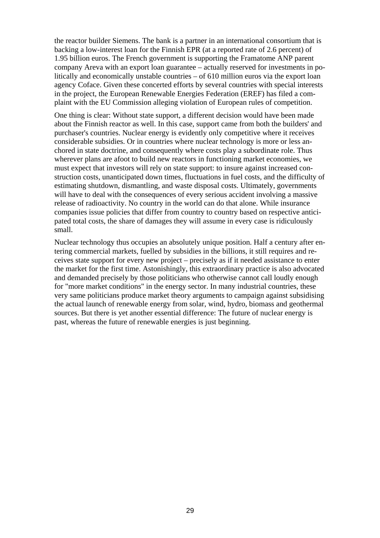the reactor builder Siemens. The bank is a partner in an international consortium that is backing a low-interest loan for the Finnish EPR (at a reported rate of 2.6 percent) of 1.95 billion euros. The French government is supporting the Framatome ANP parent company Areva with an export loan guarantee – actually reserved for investments in politically and economically unstable countries – of 610 million euros via the export loan agency Coface. Given these concerted efforts by several countries with special interests in the project, the European Renewable Energies Federation (EREF) has filed a complaint with the EU Commission alleging violation of European rules of competition.

One thing is clear: Without state support, a different decision would have been made about the Finnish reactor as well. In this case, support came from both the builders' and purchaser's countries. Nuclear energy is evidently only competitive where it receives considerable subsidies. Or in countries where nuclear technology is more or less anchored in state doctrine, and consequently where costs play a subordinate role. Thus wherever plans are afoot to build new reactors in functioning market economies, we must expect that investors will rely on state support: to insure against increased construction costs, unanticipated down times, fluctuations in fuel costs, and the difficulty of estimating shutdown, dismantling, and waste disposal costs. Ultimately, governments will have to deal with the consequences of every serious accident involving a massive release of radioactivity. No country in the world can do that alone. While insurance companies issue policies that differ from country to country based on respective anticipated total costs, the share of damages they will assume in every case is ridiculously small.

Nuclear technology thus occupies an absolutely unique position. Half a century after entering commercial markets, fuelled by subsidies in the billions, it still requires and receives state support for every new project – precisely as if it needed assistance to enter the market for the first time. Astonishingly, this extraordinary practice is also advocated and demanded precisely by those politicians who otherwise cannot call loudly enough for "more market conditions" in the energy sector. In many industrial countries, these very same politicians produce market theory arguments to campaign against subsidising the actual launch of renewable energy from solar, wind, hydro, biomass and geothermal sources. But there is yet another essential difference: The future of nuclear energy is past, whereas the future of renewable energies is just beginning.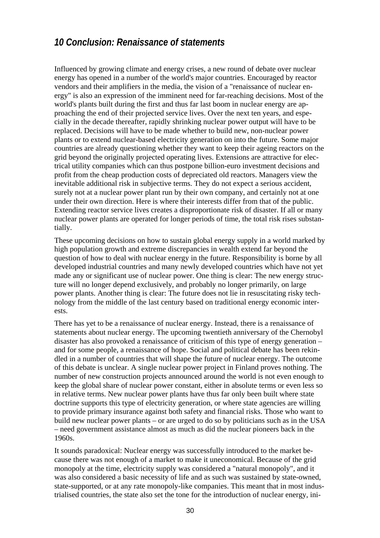### *10 Conclusion: Renaissance of statements*

Influenced by growing climate and energy crises, a new round of debate over nuclear energy has opened in a number of the world's major countries. Encouraged by reactor vendors and their amplifiers in the media, the vision of a "renaissance of nuclear energy" is also an expression of the imminent need for far-reaching decisions. Most of the world's plants built during the first and thus far last boom in nuclear energy are approaching the end of their projected service lives. Over the next ten years, and especially in the decade thereafter, rapidly shrinking nuclear power output will have to be replaced. Decisions will have to be made whether to build new, non-nuclear power plants or to extend nuclear-based electricity generation on into the future. Some major countries are already questioning whether they want to keep their ageing reactors on the grid beyond the originally projected operating lives. Extensions are attractive for electrical utility companies which can thus postpone billion-euro investment decisions and profit from the cheap production costs of depreciated old reactors. Managers view the inevitable additional risk in subjective terms. They do not expect a serious accident, surely not at a nuclear power plant run by their own company, and certainly not at one under their own direction. Here is where their interests differ from that of the public. Extending reactor service lives creates a disproportionate risk of disaster. If all or many nuclear power plants are operated for longer periods of time, the total risk rises substantially.

These upcoming decisions on how to sustain global energy supply in a world marked by high population growth and extreme discrepancies in wealth extend far beyond the question of how to deal with nuclear energy in the future. Responsibility is borne by all developed industrial countries and many newly developed countries which have not yet made any or significant use of nuclear power. One thing is clear: The new energy structure will no longer depend exclusively, and probably no longer primarily, on large power plants. Another thing is clear: The future does not lie in resuscitating risky technology from the middle of the last century based on traditional energy economic interests.

There has yet to be a renaissance of nuclear energy. Instead, there is a renaissance of statements about nuclear energy. The upcoming twentieth anniversary of the Chernobyl disaster has also provoked a renaissance of criticism of this type of energy generation – and for some people, a renaissance of hope. Social and political debate has been rekindled in a number of countries that will shape the future of nuclear energy. The outcome of this debate is unclear. A single nuclear power project in Finland proves nothing. The number of new construction projects announced around the world is not even enough to keep the global share of nuclear power constant, either in absolute terms or even less so in relative terms. New nuclear power plants have thus far only been built where state doctrine supports this type of electricity generation, or where state agencies are willing to provide primary insurance against both safety and financial risks. Those who want to build new nuclear power plants – or are urged to do so by politicians such as in the USA – need government assistance almost as much as did the nuclear pioneers back in the 1960s.

It sounds paradoxical: Nuclear energy was successfully introduced to the market because there was not enough of a market to make it uneconomical. Because of the grid monopoly at the time, electricity supply was considered a "natural monopoly", and it was also considered a basic necessity of life and as such was sustained by state-owned, state-supported, or at any rate monopoly-like companies. This meant that in most industrialised countries, the state also set the tone for the introduction of nuclear energy, ini-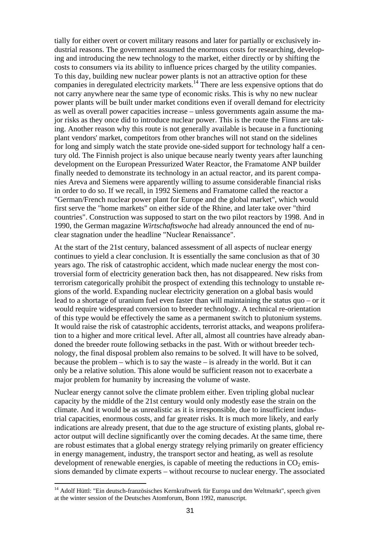tially for either overt or covert military reasons and later for partially or exclusively industrial reasons. The government assumed the enormous costs for researching, developing and introducing the new technology to the market, either directly or by shifting the costs to consumers via its ability to influence prices charged by the utility companies. To this day, building new nuclear power plants is not an attractive option for these companies in deregulated electricity markets.<sup>14</sup> There are less expensive options that do not carry anywhere near the same type of economic risks. This is why no new nuclear power plants will be built under market conditions even if overall demand for electricity as well as overall power capacities increase – unless governments again assume the major risks as they once did to introduce nuclear power. This is the route the Finns are taking. Another reason why this route is not generally available is because in a functioning plant vendors' market, competitors from other branches will not stand on the sidelines for long and simply watch the state provide one-sided support for technology half a century old. The Finnish project is also unique because nearly twenty years after launching development on the European Pressurized Water Reactor, the Framatome ANP builder finally needed to demonstrate its technology in an actual reactor, and its parent companies Areva and Siemens were apparently willing to assume considerable financial risks in order to do so. If we recall, in 1992 Siemens and Framatome called the reactor a "German/French nuclear power plant for Europe and the global market", which would first serve the "home markets" on either side of the Rhine, and later take over "third countries". Construction was supposed to start on the two pilot reactors by 1998. And in 1990, the German magazine *Wirtschaftswoche* had already announced the end of nuclear stagnation under the headline "Nuclear Renaissance".

At the start of the 21st century, balanced assessment of all aspects of nuclear energy continues to yield a clear conclusion. It is essentially the same conclusion as that of 30 years ago. The risk of catastrophic accident, which made nuclear energy the most controversial form of electricity generation back then, has not disappeared. New risks from terrorism categorically prohibit the prospect of extending this technology to unstable regions of the world. Expanding nuclear electricity generation on a global basis would lead to a shortage of uranium fuel even faster than will maintaining the status quo – or it would require widespread conversion to breeder technology. A technical re-orientation of this type would be effectively the same as a permanent switch to plutonium systems. It would raise the risk of catastrophic accidents, terrorist attacks, and weapons proliferation to a higher and more critical level. After all, almost all countries have already abandoned the breeder route following setbacks in the past. With or without breeder technology, the final disposal problem also remains to be solved. It will have to be solved, because the problem – which is to say the waste – is already in the world. But it can only be a relative solution. This alone would be sufficient reason not to exacerbate a major problem for humanity by increasing the volume of waste.

Nuclear energy cannot solve the climate problem either. Even tripling global nuclear capacity by the middle of the 21st century would only modestly ease the strain on the climate. And it would be as unrealistic as it is irresponsible, due to insufficient industrial capacities, enormous costs, and far greater risks. It is much more likely, and early indications are already present, that due to the age structure of existing plants, global reactor output will decline significantly over the coming decades. At the same time, there are robust estimates that a global energy strategy relying primarily on greater efficiency in energy management, industry, the transport sector and heating, as well as resolute development of renewable energies, is capable of meeting the reductions in  $CO<sub>2</sub>$  emissions demanded by climate experts – without recourse to nuclear energy. The associated

<sup>&</sup>lt;sup>14</sup> Adolf Hüttl: "Ein deutsch-französisches Kernkraftwerk für Europa und den Weltmarkt", speech given at the winter session of the Deutsches Atomforum, Bonn 1992, manuscript.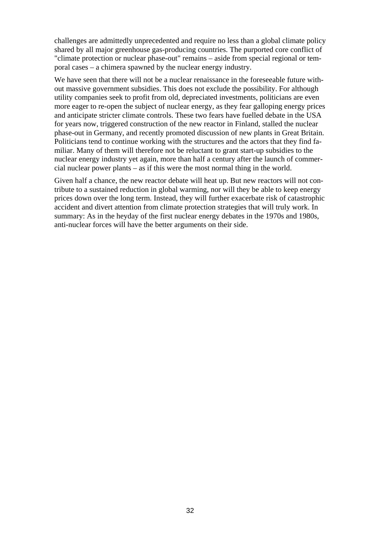challenges are admittedly unprecedented and require no less than a global climate policy shared by all major greenhouse gas-producing countries. The purported core conflict of "climate protection or nuclear phase-out" remains – aside from special regional or temporal cases – a chimera spawned by the nuclear energy industry.

We have seen that there will not be a nuclear renaissance in the foreseeable future without massive government subsidies. This does not exclude the possibility. For although utility companies seek to profit from old, depreciated investments, politicians are even more eager to re-open the subject of nuclear energy, as they fear galloping energy prices and anticipate stricter climate controls. These two fears have fuelled debate in the USA for years now, triggered construction of the new reactor in Finland, stalled the nuclear phase-out in Germany, and recently promoted discussion of new plants in Great Britain. Politicians tend to continue working with the structures and the actors that they find familiar. Many of them will therefore not be reluctant to grant start-up subsidies to the nuclear energy industry yet again, more than half a century after the launch of commercial nuclear power plants – as if this were the most normal thing in the world.

Given half a chance, the new reactor debate will heat up. But new reactors will not contribute to a sustained reduction in global warming, nor will they be able to keep energy prices down over the long term. Instead, they will further exacerbate risk of catastrophic accident and divert attention from climate protection strategies that will truly work. In summary: As in the heyday of the first nuclear energy debates in the 1970s and 1980s, anti-nuclear forces will have the better arguments on their side.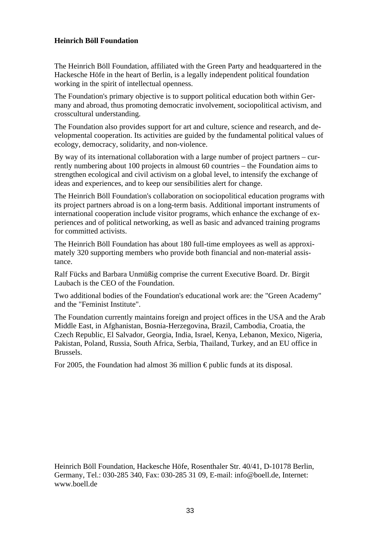#### **Heinrich Böll Foundation**

The Heinrich Böll Foundation, affiliated with the Green Party and headquartered in the Hackesche Höfe in the heart of Berlin, is a legally independent political foundation working in the spirit of intellectual openness.

The Foundation's primary objective is to support political education both within Germany and abroad, thus promoting democratic involvement, sociopolitical activism, and crosscultural understanding.

The Foundation also provides support for art and culture, science and research, and developmental cooperation. Its activities are guided by the fundamental political values of ecology, democracy, solidarity, and non-violence.

By way of its international collaboration with a large number of project partners – currently numbering about 100 projects in almoust 60 countries – the Foundation aims to strengthen ecological and civil activism on a global level, to intensify the exchange of ideas and experiences, and to keep our sensibilities alert for change.

The Heinrich Böll Foundation's collaboration on sociopolitical education programs with its project partners abroad is on a long-term basis. Additional important instruments of international cooperation include visitor programs, which enhance the exchange of experiences and of political networking, as well as basic and advanced training programs for committed activists.

The Heinrich Böll Foundation has about 180 full-time employees as well as approximately 320 supporting members who provide both financial and non-material assistance.

Ralf Fücks and Barbara Unmüßig comprise the current Executive Board. Dr. Birgit Laubach is the CEO of the Foundation.

Two additional bodies of the Foundation's educational work are: the "Green Academy" and the "Feminist Institute".

The Foundation currently maintains foreign and project offices in the USA and the Arab Middle East, in Afghanistan, Bosnia-Herzegovina, Brazil, Cambodia, Croatia, the Czech Republic, El Salvador, Georgia, India, Israel, Kenya, Lebanon, Mexico, Nigeria, Pakistan, Poland, Russia, South Africa, Serbia, Thailand, Turkey, and an EU office in Brussels.

For 2005, the Foundation had almost 36 million  $\epsilon$  public funds at its disposal.

Heinrich Böll Foundation, Hackesche Höfe, Rosenthaler Str. 40/41, D-10178 Berlin, Germany, Tel.: 030-285 340, Fax: 030-285 31 09, E-mail: info@boell.de, Internet: www.boell.de